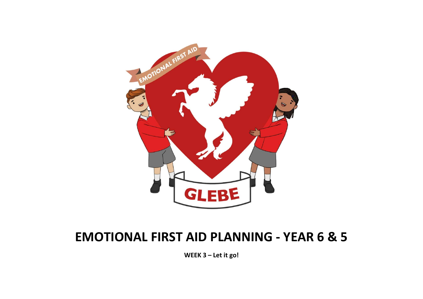

## EMOTIONAL FIRST AID PLANNING - YEAR 6 & 5

WEEK 3 – Let it go!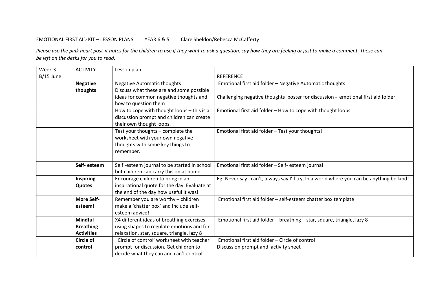## EMOTIONAL FIRST AID KIT – LESSON PLANS YEAR 6 & 5 Clare Sheldon/Rebecca McCafferty

Please use the pink heart post-it notes for the children to use if they want to ask a question, say how they are feeling or just to make a comment. These can be left on the desks for you to read.

| Week 3      | <b>ACTIVITY</b>   | Lesson plan                                  |                                                                                           |
|-------------|-------------------|----------------------------------------------|-------------------------------------------------------------------------------------------|
| $B/15$ June |                   |                                              | <b>REFERENCE</b>                                                                          |
|             | <b>Negative</b>   | <b>Negative Automatic thoughts</b>           | Emotional first aid folder - Negative Automatic thoughts                                  |
|             | thoughts          | Discuss what these are and some possible     |                                                                                           |
|             |                   | ideas for common negative thoughts and       | Challenging negative thoughts poster for discussion - emotional first aid folder          |
|             |                   | how to question them                         |                                                                                           |
|             |                   | How to cope with thought loops - this is a   | Emotional first aid folder - How to cope with thought loops                               |
|             |                   | discussion prompt and children can create    |                                                                                           |
|             |                   | their own thought loops.                     |                                                                                           |
|             |                   | Test your thoughts - complete the            | Emotional first aid folder - Test your thoughts!                                          |
|             |                   | worksheet with your own negative             |                                                                                           |
|             |                   | thoughts with some key things to             |                                                                                           |
|             |                   | remember.                                    |                                                                                           |
|             |                   |                                              |                                                                                           |
|             | Self-esteem       | Self-esteem journal to be started in school  | Emotional first aid folder - Self- esteem journal                                         |
|             |                   | but children can carry this on at home.      |                                                                                           |
|             | <b>Inspiring</b>  | Encourage children to bring in an            | Eg: Never say I can't, always say I'll try, In a world where you can be anything be kind! |
|             | <b>Quotes</b>     | inspirational quote for the day. Evaluate at |                                                                                           |
|             |                   | the end of the day how useful it was!        |                                                                                           |
|             | <b>More Self-</b> | Remember you are worthy - children           | Emotional first aid folder - self-esteem chatter box template                             |
|             | esteem!           | make a 'chatter box' and include self-       |                                                                                           |
|             |                   | esteem advice!                               |                                                                                           |
|             | <b>Mindful</b>    | X4 different ideas of breathing exercises    | Emotional first aid folder - breathing - star, square, triangle, lazy 8                   |
|             | <b>Breathing</b>  | using shapes to regulate emotions and for    |                                                                                           |
|             | <b>Activities</b> | relaxation. star, square, triangle, lazy 8   |                                                                                           |
|             | Circle of         | 'Circle of control' worksheet with teacher   | Emotional first aid folder - Circle of control                                            |
|             | control           | prompt for discussion. Get children to       | Discussion prompt and activity sheet                                                      |
|             |                   | decide what they can and can't control       |                                                                                           |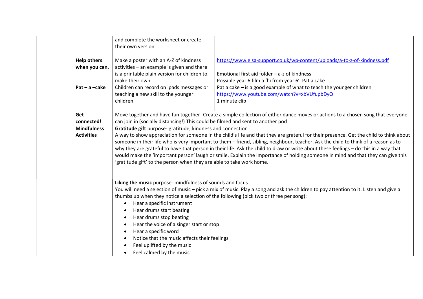|                    | and complete the worksheet or create<br>their own version.                                                                                                                                                                                                                                                                                                                                                                                                                                                                                                                                                                                                                                    |                                                                          |  |
|--------------------|-----------------------------------------------------------------------------------------------------------------------------------------------------------------------------------------------------------------------------------------------------------------------------------------------------------------------------------------------------------------------------------------------------------------------------------------------------------------------------------------------------------------------------------------------------------------------------------------------------------------------------------------------------------------------------------------------|--------------------------------------------------------------------------|--|
| <b>Help others</b> | Make a poster with an A-Z of kindness                                                                                                                                                                                                                                                                                                                                                                                                                                                                                                                                                                                                                                                         | https://www.elsa-support.co.uk/wp-content/uploads/a-to-z-of-kindness.pdf |  |
| when you can.      | activities - an example is given and there                                                                                                                                                                                                                                                                                                                                                                                                                                                                                                                                                                                                                                                    |                                                                          |  |
|                    | is a printable plain version for children to                                                                                                                                                                                                                                                                                                                                                                                                                                                                                                                                                                                                                                                  | Emotional first aid folder - a-z of kindness                             |  |
|                    | make their own.                                                                                                                                                                                                                                                                                                                                                                                                                                                                                                                                                                                                                                                                               | Possible year 6 film a 'hi from year 6' Pat a cake                       |  |
| $Pat - a - cake$   | Children can record on ipads messages or                                                                                                                                                                                                                                                                                                                                                                                                                                                                                                                                                                                                                                                      | Pat a cake - is a good example of what to teach the younger children     |  |
|                    | teaching a new skill to the younger<br>children.                                                                                                                                                                                                                                                                                                                                                                                                                                                                                                                                                                                                                                              | https://www.youtube.com/watch?v=xbVUfupbDyQ<br>1 minute clip             |  |
|                    |                                                                                                                                                                                                                                                                                                                                                                                                                                                                                                                                                                                                                                                                                               |                                                                          |  |
| Get<br>connected!  | Move together and have fun together! Create a simple collection of either dance moves or actions to a chosen song that everyone<br>can join in (socially distancing!) This could be filmed and sent to another pod!                                                                                                                                                                                                                                                                                                                                                                                                                                                                           |                                                                          |  |
| <b>Mindfulness</b> | Gratitude gift purpose-gratitude, kindness and connection<br>A way to show appreciation for someone in the child's life and that they are grateful for their presence. Get the child to think about<br>someone in their life who is very important to them - friend, sibling, neighbour, teacher. Ask the child to think of a reason as to<br>why they are grateful to have that person in their life. Ask the child to draw or write about these feelings - do this in a way that<br>would make the 'important person' laugh or smile. Explain the importance of holding someone in mind and that they can give this<br>'gratitude gift' to the person when they are able to take work home. |                                                                          |  |
| <b>Activities</b>  |                                                                                                                                                                                                                                                                                                                                                                                                                                                                                                                                                                                                                                                                                               |                                                                          |  |
|                    |                                                                                                                                                                                                                                                                                                                                                                                                                                                                                                                                                                                                                                                                                               |                                                                          |  |
|                    | Liking the music purpose- mindfulness of sounds and focus                                                                                                                                                                                                                                                                                                                                                                                                                                                                                                                                                                                                                                     |                                                                          |  |
|                    | You will need a selection of music – pick a mix of music. Play a song and ask the children to pay attention to it. Listen and give a<br>thumbs up when they notice a selection of the following (pick two or three per song):                                                                                                                                                                                                                                                                                                                                                                                                                                                                 |                                                                          |  |
|                    |                                                                                                                                                                                                                                                                                                                                                                                                                                                                                                                                                                                                                                                                                               |                                                                          |  |
|                    | Hear a specific instrument<br>$\bullet$<br>Hear drums start beating<br>$\bullet$                                                                                                                                                                                                                                                                                                                                                                                                                                                                                                                                                                                                              |                                                                          |  |
|                    | Hear drums stop beating<br>$\bullet$                                                                                                                                                                                                                                                                                                                                                                                                                                                                                                                                                                                                                                                          |                                                                          |  |
|                    | Hear the voice of a singer start or stop<br>$\bullet$                                                                                                                                                                                                                                                                                                                                                                                                                                                                                                                                                                                                                                         |                                                                          |  |
|                    | Hear a specific word<br>$\bullet$                                                                                                                                                                                                                                                                                                                                                                                                                                                                                                                                                                                                                                                             |                                                                          |  |
|                    | Notice that the music affects their feelings                                                                                                                                                                                                                                                                                                                                                                                                                                                                                                                                                                                                                                                  |                                                                          |  |
|                    | Feel uplifted by the music                                                                                                                                                                                                                                                                                                                                                                                                                                                                                                                                                                                                                                                                    |                                                                          |  |
|                    | Feel calmed by the music<br>$\bullet$                                                                                                                                                                                                                                                                                                                                                                                                                                                                                                                                                                                                                                                         |                                                                          |  |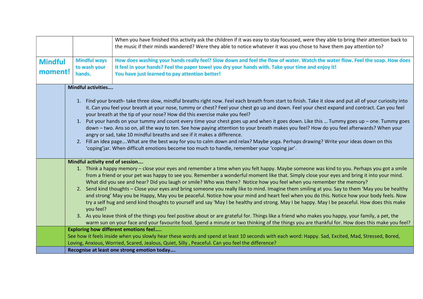|                           |                                               | When you have finished this activity ask the children if it was easy to stay focussed, were they able to bring their attention back to<br>the music if their minds wandered? Were they able to notice whatever it was you chose to have them pay attention to?                                                                                                                                                                                                                                                                                                                                                                                                                                                                                                                                                                                                                                                                                                                                                                                                                                                                                                                                                                                                                                                                                                                                                                                                                 |  |  |
|---------------------------|-----------------------------------------------|--------------------------------------------------------------------------------------------------------------------------------------------------------------------------------------------------------------------------------------------------------------------------------------------------------------------------------------------------------------------------------------------------------------------------------------------------------------------------------------------------------------------------------------------------------------------------------------------------------------------------------------------------------------------------------------------------------------------------------------------------------------------------------------------------------------------------------------------------------------------------------------------------------------------------------------------------------------------------------------------------------------------------------------------------------------------------------------------------------------------------------------------------------------------------------------------------------------------------------------------------------------------------------------------------------------------------------------------------------------------------------------------------------------------------------------------------------------------------------|--|--|
| <b>Mindful</b><br>moment! | <b>Mindful ways</b><br>to wash your<br>hands. | How does washing your hands really feel? Slow down and feel the flow of water. Watch the water flow. Feel the soap. How does<br>it feel in your hands? Feel the paper towel you dry your hands with. Take your time and enjoy it!<br>You have just learned to pay attention better!                                                                                                                                                                                                                                                                                                                                                                                                                                                                                                                                                                                                                                                                                                                                                                                                                                                                                                                                                                                                                                                                                                                                                                                            |  |  |
|                           | <b>Mindful activities</b>                     | 1. Find your breath- take three slow, mindful breaths right now. Feel each breath from start to finish. Take it slow and put all of your curiosity into<br>it. Can you feel your breath at your nose, tummy or chest? Feel your chest go up and down. Feel your chest expand and contract. Can you feel<br>your breath at the tip of your nose? How did this exercise make you feel?<br>1. Put your hands on your tummy and count every time your chest goes up and when it goes down. Like this  Tummy goes up – one. Tummy goes<br>down - two. Ans so on, all the way to ten. See how paying attention to your breath makes you feel? How do you feel afterwards? When your<br>angry or sad, take 10 mindful breaths and see if it makes a difference.<br>2. Fill an idea pageWhat are the best way for you to calm down and relax? Maybe yoga. Perhaps drawing? Write your ideas down on this<br>'coping'jar. When difficult emotions become too much to handle, remember your 'coping jar'.                                                                                                                                                                                                                                                                                                                                                                                                                                                                                |  |  |
|                           | Mindful activity end of session<br>you feel?  | 1. Think a happy memory – close your eyes and remember a time when you felt happy. Maybe someone was kind to you. Perhaps you got a smile<br>from a friend or your pet was happy to see you. Remember a wonderful moment like that. Simply close your eyes and bring it into your mind.<br>What did you see and hear? Did you laugh or smile? Who was there? Notice how you feel when you remember the memory?<br>2. Send kind thoughts - Close your eyes and bring someone you really like to mind. Imagine them smiling at you. Say to them 'May you be healthy<br>and strong' May you be Happy, May you be peaceful. Notice how your mind and heart feel when you do this. Notice how your body feels. Now<br>try a self hug and send kind thoughts to yourself and say 'May I be healthy and strong. May I be happy. May I be peaceful. How does this make<br>3. As you leave think of the things you feel positive about or are grateful for. Things like a friend who makes you happy, your family, a pet, the<br>warm sun on your face and your favourite food. Spend a minute or two thinking of the things you are thankful for. How does this make you feel?<br><b>Exploring how different emotions feel</b><br>See how it feels inside when you slowly hear these words and spend at least 10 seconds with each word: Happy. Sad, Excited, Mad, Stressed, Bored,<br>Loving, Anxious, Worried, Scared, Jealous, Quiet, Silly, Peaceful. Can you feel the difference? |  |  |
|                           | Recognise at least one strong emotion today   |                                                                                                                                                                                                                                                                                                                                                                                                                                                                                                                                                                                                                                                                                                                                                                                                                                                                                                                                                                                                                                                                                                                                                                                                                                                                                                                                                                                                                                                                                |  |  |